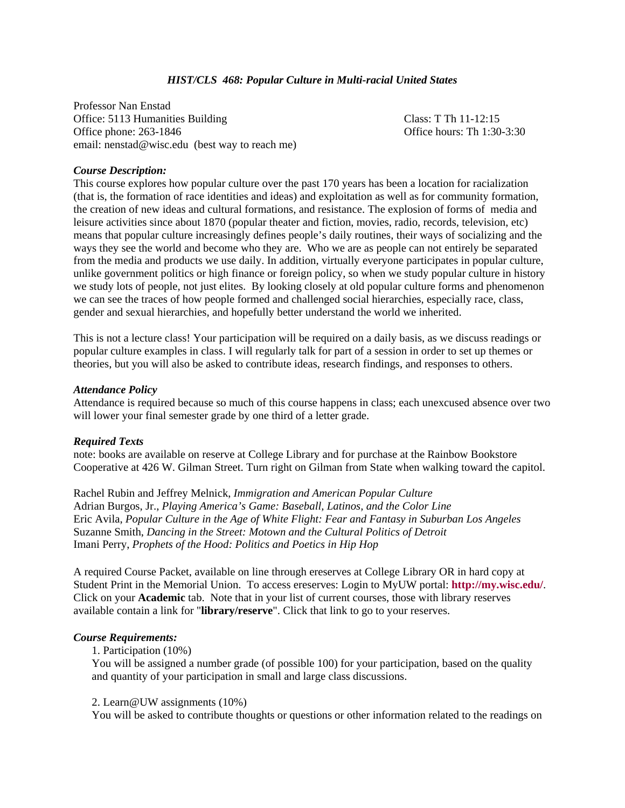# *HIST/CLS 468: Popular Culture in Multi-racial United States*

Professor Nan Enstad Office: 5113 Humanities Building Class: T Th 11-12:15 Office phone: 263-1846 **Office hours:** Th 1:30-3:30 email: nenstad@wisc.edu (best way to reach me)

## *Course Description:*

This course explores how popular culture over the past 170 years has been a location for racialization (that is, the formation of race identities and ideas) and exploitation as well as for community formation, the creation of new ideas and cultural formations, and resistance. The explosion of forms of media and leisure activities since about 1870 (popular theater and fiction, movies, radio, records, television, etc) means that popular culture increasingly defines people's daily routines, their ways of socializing and the ways they see the world and become who they are. Who we are as people can not entirely be separated from the media and products we use daily. In addition, virtually everyone participates in popular culture, unlike government politics or high finance or foreign policy, so when we study popular culture in history we study lots of people, not just elites. By looking closely at old popular culture forms and phenomenon we can see the traces of how people formed and challenged social hierarchies, especially race, class, gender and sexual hierarchies, and hopefully better understand the world we inherited.

This is not a lecture class! Your participation will be required on a daily basis, as we discuss readings or popular culture examples in class. I will regularly talk for part of a session in order to set up themes or theories, but you will also be asked to contribute ideas, research findings, and responses to others.

### *Attendance Policy*

Attendance is required because so much of this course happens in class; each unexcused absence over two will lower your final semester grade by one third of a letter grade.

### *Required Texts*

note: books are available on reserve at College Library and for purchase at the Rainbow Bookstore Cooperative at 426 W. Gilman Street. Turn right on Gilman from State when walking toward the capitol.

Rachel Rubin and Jeffrey Melnick, *Immigration and American Popular Culture*  Adrian Burgos, Jr., *Playing America's Game: Baseball, Latinos, and the Color Line*  Eric Avila, *Popular Culture in the Age of White Flight: Fear and Fantasy in Suburban Los Angeles*  Suzanne Smith, *Dancing in the Street: Motown and the Cultural Politics of Detroit*  Imani Perry, *Prophets of the Hood: Politics and Poetics in Hip Hop* 

A required Course Packet, available on line through ereserves at College Library OR in hard copy at Student Print in the Memorial Union. To access ereserves: Login to MyUW portal: **http://my.wisc.edu/**. Click on your **Academic** tab. Note that in your list of current courses, those with library reserves available contain a link for "**library/reserve**". Click that link to go to your reserves.

#### *Course Requirements:*

1. Participation (10%)

You will be assigned a number grade (of possible 100) for your participation, based on the quality and quantity of your participation in small and large class discussions.

### 2. Learn@UW assignments (10%)

You will be asked to contribute thoughts or questions or other information related to the readings on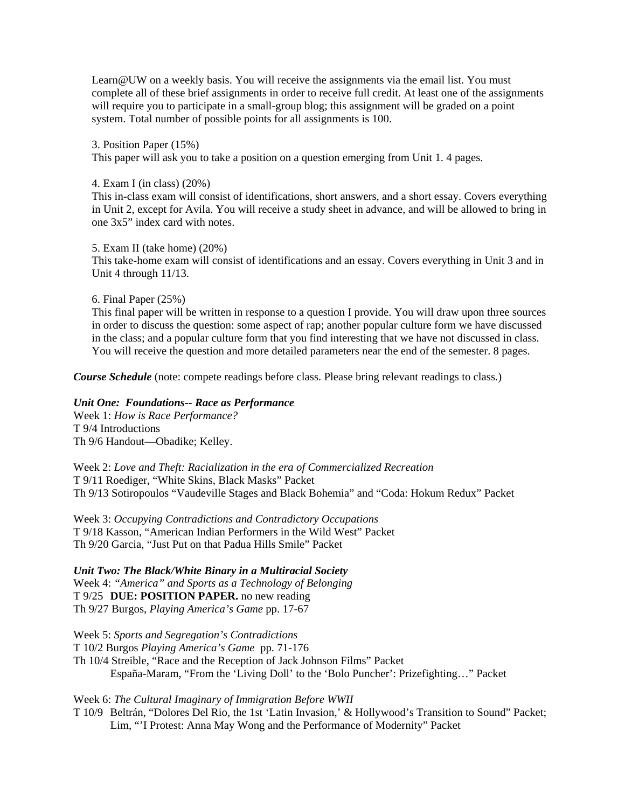Learn@UW on a weekly basis. You will receive the assignments via the email list. You must complete all of these brief assignments in order to receive full credit. At least one of the assignments will require you to participate in a small-group blog; this assignment will be graded on a point system. Total number of possible points for all assignments is 100.

3. Position Paper (15%)

This paper will ask you to take a position on a question emerging from Unit 1. 4 pages.

4. Exam I (in class) (20%)

This in-class exam will consist of identifications, short answers, and a short essay. Covers everything in Unit 2, except for Avila. You will receive a study sheet in advance, and will be allowed to bring in one 3x5" index card with notes.

5. Exam II (take home) (20%) This take-home exam will consist of identifications and an essay. Covers everything in Unit 3 and in Unit 4 through 11/13.

6. Final Paper (25%)

This final paper will be written in response to a question I provide. You will draw upon three sources in order to discuss the question: some aspect of rap; another popular culture form we have discussed in the class; and a popular culture form that you find interesting that we have not discussed in class. You will receive the question and more detailed parameters near the end of the semester. 8 pages.

*Course Schedule* (note: compete readings before class. Please bring relevant readings to class.)

# *Unit One: Foundations-- Race as Performance*

Week 1: *How is Race Performance?*  T 9/4 Introductions Th 9/6 Handout—Obadike; Kelley.

Week 2: *Love and Theft: Racialization in the era of Commercialized Recreation*  T 9/11 Roediger, "White Skins, Black Masks" Packet Th 9/13 Sotiropoulos "Vaudeville Stages and Black Bohemia" and "Coda: Hokum Redux" Packet

Week 3: *Occupying Contradictions and Contradictory Occupations*  T 9/18 Kasson, "American Indian Performers in the Wild West" Packet Th 9/20 Garcia, "Just Put on that Padua Hills Smile" Packet

*Unit Two: The Black/White Binary in a Multiracial Society*  Week 4: *"America" and Sports as a Technology of Belonging*  T 9/25 **DUE: POSITION PAPER.** no new reading Th 9/27 Burgos, *Playing America's Game* pp. 17-67

Week 5: *Sports and Segregation's Contradictions*  T 10/2 Burgos *Playing America's Game* pp. 71-176 Th 10/4 Streible, "Race and the Reception of Jack Johnson Films" Packet España-Maram, "From the 'Living Doll' to the 'Bolo Puncher': Prizefighting…" Packet

## Week 6: *The Cultural Imaginary of Immigration Before WWII*

T 10/9 Beltrán, "Dolores Del Rio, the 1st 'Latin Invasion,' & Hollywood's Transition to Sound" Packet; Lim, "'I Protest: Anna May Wong and the Performance of Modernity" Packet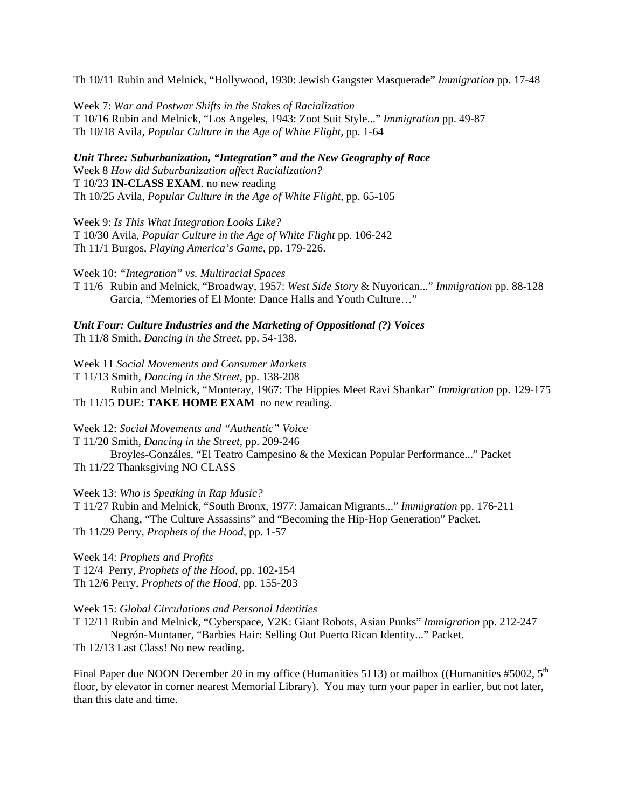Th 10/11 Rubin and Melnick, "Hollywood, 1930: Jewish Gangster Masquerade" *Immigration* pp. 17-48

Week 7: *War and Postwar Shifts in the Stakes of Racialization*  T 10/16 Rubin and Melnick, "Los Angeles, 1943: Zoot Suit Style..." *Immigration* pp. 49-87 Th 10/18 Avila, *Popular Culture in the Age of White Flight,* pp. 1-64

*Unit Three: Suburbanization, "Integration" and the New Geography of Race*  Week 8 *How did Suburbanization affect Racialization?* T 10/23 **IN-CLASS EXAM**. no new reading Th 10/25 Avila, *Popular Culture in the Age of White Flight,* pp. 65-105

Week 9: *Is This What Integration Looks Like?*

T 10/30 Avila, *Popular Culture in the Age of White Flight* pp. 106-242 Th 11/1 Burgos, *Playing America's Game*, pp. 179-226.

Week 10: *"Integration" vs. Multiracial Spaces* 

T 11/6 Rubin and Melnick, "Broadway, 1957: *West Side Story* & Nuyorican..." *Immigration* pp. 88-128 Garcia, "Memories of El Monte: Dance Halls and Youth Culture…"

*Unit Four: Culture Industries and the Marketing of Oppositional (?) Voices* Th 11/8 Smith, *Dancing in the Street,* pp. 54-138.

Week 11 *Social Movements and Consumer Markets*

T 11/13 Smith, *Dancing in the Street,* pp. 138-208 Rubin and Melnick, "Monteray, 1967: The Hippies Meet Ravi Shankar" *Immigration* pp. 129-175 Th 11/15 **DUE: TAKE HOME EXAM** no new reading.

Week 12: *Social Movements and "Authentic" Voice* 

T 11/20 Smith, *Dancing in the Street,* pp. 209-246

 Broyles-Gonzáles, "El Teatro Campesino & the Mexican Popular Performance..." Packet Th 11/22 Thanksgiving NO CLASS

Week 13: *Who is Speaking in Rap Music?* 

T 11/27 Rubin and Melnick, "South Bronx, 1977: Jamaican Migrants..." *Immigration* pp. 176-211 Chang, "The Culture Assassins" and "Becoming the Hip-Hop Generation" Packet. Th 11/29 Perry, *Prophets of the Hood,* pp. 1-57

Week 14: *Prophets and Profits*  T 12/4 Perry, *Prophets of the Hood,* pp. 102-154 Th 12/6 Perry, *Prophets of the Hood,* pp. 155-203

Week 15: *Global Circulations and Personal Identities* 

T 12/11 Rubin and Melnick, "Cyberspace, Y2K: Giant Robots, Asian Punks" *Immigration* pp. 212-247 Negrón-Muntaner, "Barbies Hair: Selling Out Puerto Rican Identity..." Packet.

Th 12/13 Last Class! No new reading.

Final Paper due NOON December 20 in my office (Humanities 5113) or mailbox ((Humanities #5002,  $5<sup>th</sup>$ floor, by elevator in corner nearest Memorial Library). You may turn your paper in earlier, but not later, than this date and time.